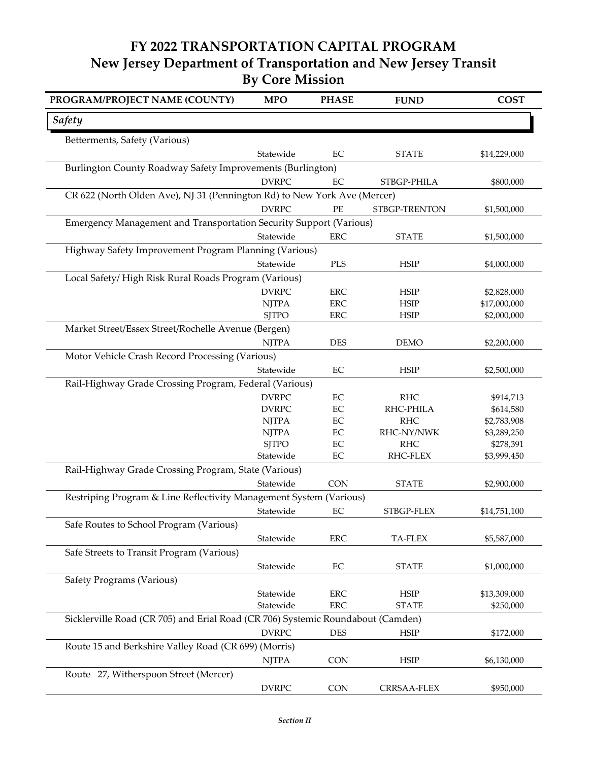## **FY 2022 TRANSPORTATION CAPITAL PROGRAM New Jersey Department of Transportation and New Jersey Transit By Core Mission**

| PROGRAM/PROJECT NAME (COUNTY)                                                   | <b>MPO</b>                | <b>PHASE</b>             | <b>FUND</b>                 | <b>COST</b>               |  |  |
|---------------------------------------------------------------------------------|---------------------------|--------------------------|-----------------------------|---------------------------|--|--|
| <b>Safety</b>                                                                   |                           |                          |                             |                           |  |  |
| Betterments, Safety (Various)                                                   |                           |                          |                             |                           |  |  |
|                                                                                 | Statewide                 | EC                       | <b>STATE</b>                | \$14,229,000              |  |  |
| Burlington County Roadway Safety Improvements (Burlington)                      |                           |                          |                             |                           |  |  |
|                                                                                 | <b>DVRPC</b>              | EC                       | STBGP-PHILA                 | \$800,000                 |  |  |
| CR 622 (North Olden Ave), NJ 31 (Pennington Rd) to New York Ave (Mercer)        |                           |                          |                             |                           |  |  |
|                                                                                 | <b>DVRPC</b>              | PE                       | STBGP-TRENTON               | \$1,500,000               |  |  |
| Emergency Management and Transportation Security Support (Various)              |                           |                          |                             |                           |  |  |
|                                                                                 | Statewide                 | <b>ERC</b>               | <b>STATE</b>                | \$1,500,000               |  |  |
| Highway Safety Improvement Program Planning (Various)                           |                           |                          |                             |                           |  |  |
|                                                                                 | Statewide                 | $\rm PLS$                | <b>HSIP</b>                 | \$4,000,000               |  |  |
| Local Safety/High Risk Rural Roads Program (Various)                            |                           |                          |                             |                           |  |  |
|                                                                                 | <b>DVRPC</b>              | <b>ERC</b>               | <b>HSIP</b>                 | \$2,828,000               |  |  |
|                                                                                 | <b>NJTPA</b>              | <b>ERC</b>               | <b>HSIP</b>                 | \$17,000,000              |  |  |
|                                                                                 | <b>SJTPO</b>              | <b>ERC</b>               | <b>HSIP</b>                 | \$2,000,000               |  |  |
| Market Street/Essex Street/Rochelle Avenue (Bergen)                             |                           |                          |                             |                           |  |  |
|                                                                                 | <b>NJTPA</b>              | <b>DES</b>               | <b>DEMO</b>                 | \$2,200,000               |  |  |
| Motor Vehicle Crash Record Processing (Various)                                 |                           |                          |                             |                           |  |  |
|                                                                                 | Statewide                 | $\rm EC$                 | <b>HSIP</b>                 | \$2,500,000               |  |  |
| Rail-Highway Grade Crossing Program, Federal (Various)                          |                           |                          |                             |                           |  |  |
|                                                                                 | <b>DVRPC</b>              | $\rm EC$                 | <b>RHC</b>                  | \$914,713                 |  |  |
|                                                                                 | <b>DVRPC</b>              | $\rm EC$                 | RHC-PHILA                   | \$614,580                 |  |  |
|                                                                                 | <b>NJTPA</b>              | EC                       | <b>RHC</b>                  | \$2,783,908               |  |  |
|                                                                                 | <b>NJTPA</b>              | $\rm EC$                 | RHC-NY/NWK                  | \$3,289,250               |  |  |
|                                                                                 | <b>SJTPO</b><br>Statewide | EC<br>$\rm EC$           | <b>RHC</b><br>RHC-FLEX      | \$278,391<br>\$3,999,450  |  |  |
| Rail-Highway Grade Crossing Program, State (Various)                            |                           |                          |                             |                           |  |  |
|                                                                                 | Statewide                 | <b>CON</b>               | <b>STATE</b>                | \$2,900,000               |  |  |
|                                                                                 |                           |                          |                             |                           |  |  |
| Restriping Program & Line Reflectivity Management System (Various)              | Statewide                 |                          |                             |                           |  |  |
|                                                                                 |                           | $\rm EC$                 | STBGP-FLEX                  | \$14,751,100              |  |  |
| Safe Routes to School Program (Various)                                         |                           |                          |                             |                           |  |  |
|                                                                                 | Statewide                 | <b>ERC</b>               | <b>TA-FLEX</b>              | \$5,587,000               |  |  |
| Safe Streets to Transit Program (Various)                                       |                           |                          |                             |                           |  |  |
|                                                                                 | Statewide                 | $\rm EC$                 | <b>STATE</b>                | \$1,000,000               |  |  |
| Safety Programs (Various)                                                       |                           |                          |                             |                           |  |  |
|                                                                                 | Statewide<br>Statewide    | <b>ERC</b><br><b>ERC</b> | <b>HSIP</b><br><b>STATE</b> | \$13,309,000<br>\$250,000 |  |  |
| Sicklerville Road (CR 705) and Erial Road (CR 706) Systemic Roundabout (Camden) |                           |                          |                             |                           |  |  |
|                                                                                 | <b>DVRPC</b>              | <b>DES</b>               |                             |                           |  |  |
|                                                                                 |                           |                          | <b>HSIP</b>                 | \$172,000                 |  |  |
| Route 15 and Berkshire Valley Road (CR 699) (Morris)                            |                           |                          |                             |                           |  |  |
|                                                                                 | <b>NJTPA</b>              | <b>CON</b>               | <b>HSIP</b>                 | \$6,130,000               |  |  |
| Route 27, Witherspoon Street (Mercer)                                           |                           |                          |                             |                           |  |  |
|                                                                                 | <b>DVRPC</b>              | <b>CON</b>               | CRRSAA-FLEX                 | \$950,000                 |  |  |